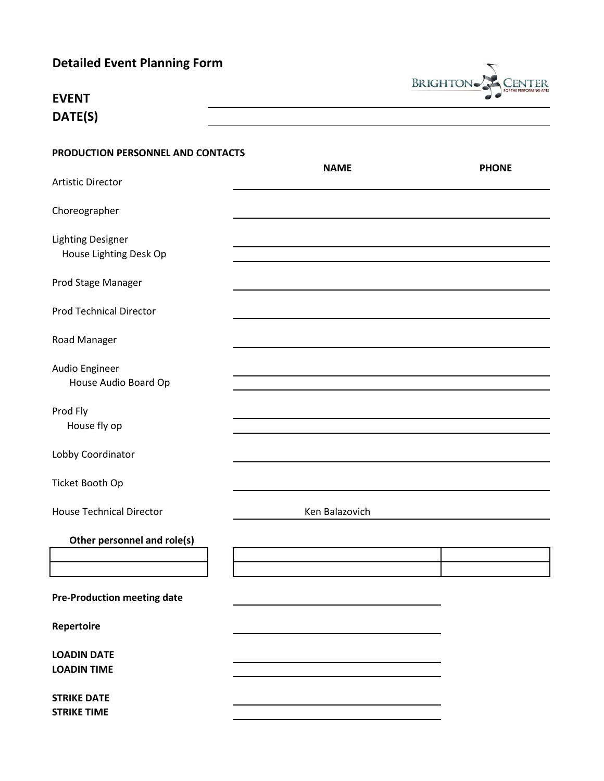|  |  | <b>Detailed Event Planning Form</b> |  |
|--|--|-------------------------------------|--|
|--|--|-------------------------------------|--|



| EVENT   |
|---------|
| DATE(S) |

| PRODUCTION PERSONNEL AND CONTACTS                  | <b>NAME</b>    | <b>PHONE</b> |
|----------------------------------------------------|----------------|--------------|
| Artistic Director                                  |                |              |
| Choreographer                                      |                |              |
| <b>Lighting Designer</b><br>House Lighting Desk Op |                |              |
| Prod Stage Manager                                 |                |              |
| <b>Prod Technical Director</b>                     |                |              |
| Road Manager                                       |                |              |
| Audio Engineer<br>House Audio Board Op             |                |              |
| Prod Fly<br>House fly op                           |                |              |
| Lobby Coordinator                                  |                |              |
| Ticket Booth Op                                    |                |              |
| <b>House Technical Director</b>                    | Ken Balazovich |              |
| Other personnel and role(s)                        |                |              |
|                                                    |                |              |
| <b>Pre-Production meeting date</b>                 |                |              |
| Repertoire                                         |                |              |
| <b>LOADIN DATE</b><br><b>LOADIN TIME</b>           |                |              |
| <b>STRIKE DATE</b><br><b>STRIKE TIME</b>           |                |              |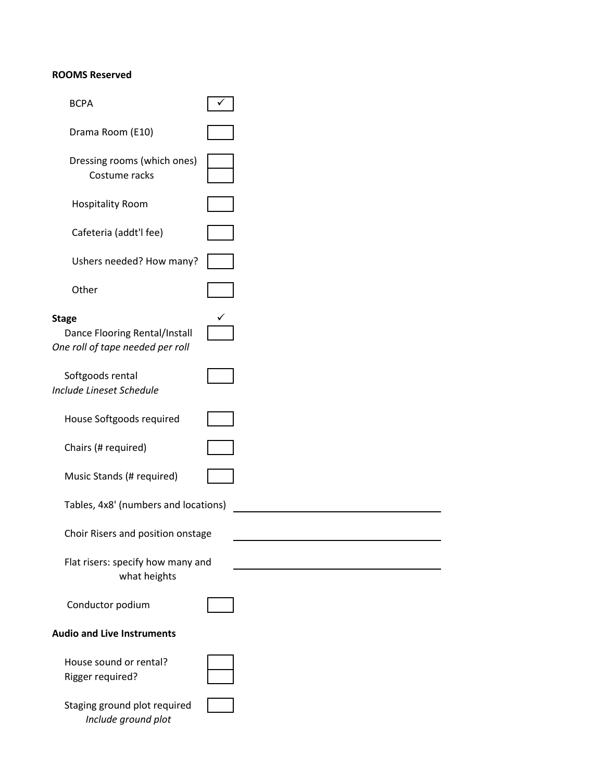## **ROOMS Reserved**

| <b>BCPA</b>                                                                       |  |
|-----------------------------------------------------------------------------------|--|
| Drama Room (E10)                                                                  |  |
| Dressing rooms (which ones)<br>Costume racks                                      |  |
| <b>Hospitality Room</b>                                                           |  |
| Cafeteria (addt'l fee)                                                            |  |
| Ushers needed? How many?                                                          |  |
| Other                                                                             |  |
| <b>Stage</b><br>Dance Flooring Rental/Install<br>One roll of tape needed per roll |  |
| Softgoods rental<br><b>Include Lineset Schedule</b>                               |  |
| House Softgoods required                                                          |  |
| Chairs (# required)                                                               |  |
| Music Stands (# required)                                                         |  |
| Tables, 4x8' (numbers and locations)                                              |  |
| Choir Risers and position onstage                                                 |  |
| Flat risers: specify how many and<br>what heights                                 |  |
| Conductor podium                                                                  |  |
| <b>Audio and Live Instruments</b>                                                 |  |
| House sound or rental?<br>Rigger required?                                        |  |
| Staging ground plot required<br>Include ground plot                               |  |

 $\overline{\phantom{0}}$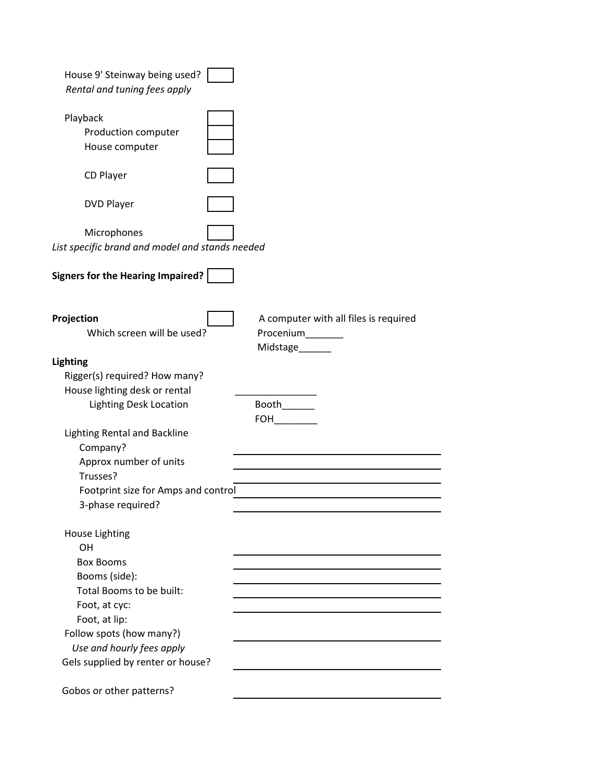| House 9' Steinway being used?<br>Rental and tuning fees apply  |                                                                             |
|----------------------------------------------------------------|-----------------------------------------------------------------------------|
| Playback<br>Production computer<br>House computer              |                                                                             |
| CD Player                                                      |                                                                             |
| <b>DVD Player</b>                                              |                                                                             |
| Microphones<br>List specific brand and model and stands needed |                                                                             |
| <b>Signers for the Hearing Impaired?</b>                       |                                                                             |
| Projection<br>Which screen will be used?                       | A computer with all files is required<br>Procenium_______<br>Midstage______ |
| <b>Lighting</b>                                                |                                                                             |
| Rigger(s) required? How many?                                  |                                                                             |
| House lighting desk or rental                                  |                                                                             |
| <b>Lighting Desk Location</b>                                  | Booth_______<br><b>FOH</b>                                                  |
| Lighting Rental and Backline<br>Company?                       |                                                                             |
| Approx number of units<br>Trusses?                             |                                                                             |
| Footprint size for Amps and control<br>3-phase required?       |                                                                             |
| <b>House Lighting</b><br>OH                                    |                                                                             |
| <b>Box Booms</b>                                               |                                                                             |
| Booms (side):                                                  |                                                                             |
| Total Booms to be built:                                       |                                                                             |
| Foot, at cyc:                                                  |                                                                             |
| Foot, at lip:                                                  |                                                                             |
| Follow spots (how many?)                                       |                                                                             |
| Use and hourly fees apply                                      |                                                                             |
| Gels supplied by renter or house?                              |                                                                             |
| Gobos or other patterns?                                       |                                                                             |